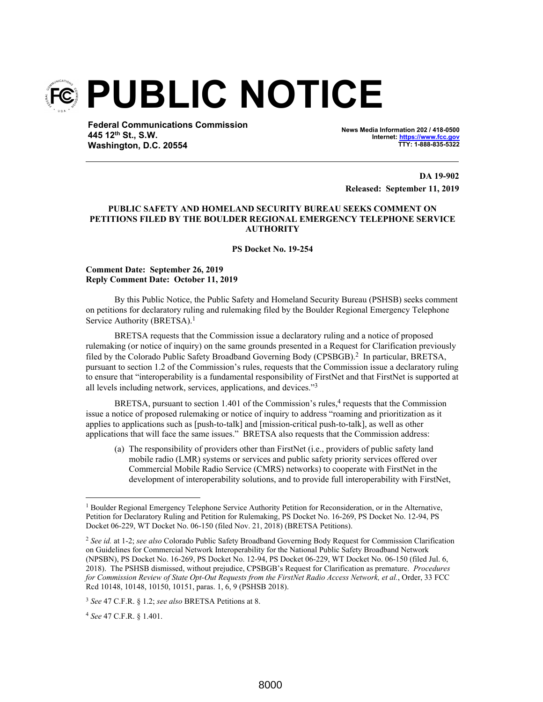

**Federal Communications Commission 445 12th St., S.W. Washington, D.C. 20554**

**News Media Information 202 / 418-0500** Internet: https://www.fcc.go **TTY: 1-888-835-5322**

**DA 19-902 Released: September 11, 2019**

## **PUBLIC SAFETY AND HOMELAND SECURITY BUREAU SEEKS COMMENT ON PETITIONS FILED BY THE BOULDER REGIONAL EMERGENCY TELEPHONE SERVICE AUTHORITY**

**PS Docket No. 19-254**

## **Comment Date: September 26, 2019 Reply Comment Date: October 11, 2019**

By this Public Notice, the Public Safety and Homeland Security Bureau (PSHSB) seeks comment on petitions for declaratory ruling and rulemaking filed by the Boulder Regional Emergency Telephone Service Authority (BRETSA).<sup>1</sup>

BRETSA requests that the Commission issue a declaratory ruling and a notice of proposed rulemaking (or notice of inquiry) on the same grounds presented in a Request for Clarification previously filed by the Colorado Public Safety Broadband Governing Body (CPSBGB).<sup>2</sup> In particular, BRETSA, pursuant to section 1.2 of the Commission's rules, requests that the Commission issue a declaratory ruling to ensure that "interoperability is a fundamental responsibility of FirstNet and that FirstNet is supported at all levels including network, services, applications, and devices."<sup>3</sup>

BRETSA, pursuant to section 1.401 of the Commission's rules,<sup>4</sup> requests that the Commission issue a notice of proposed rulemaking or notice of inquiry to address "roaming and prioritization as it applies to applications such as [push-to-talk] and [mission-critical push-to-talk], as well as other applications that will face the same issues." BRETSA also requests that the Commission address:

(a) The responsibility of providers other than FirstNet (i.e., providers of public safety land mobile radio (LMR) systems or services and public safety priority services offered over Commercial Mobile Radio Service (CMRS) networks) to cooperate with FirstNet in the development of interoperability solutions, and to provide full interoperability with FirstNet,

<sup>4</sup> *See* 47 C.F.R. § 1.401.

<sup>&</sup>lt;sup>1</sup> Boulder Regional Emergency Telephone Service Authority Petition for Reconsideration, or in the Alternative, Petition for Declaratory Ruling and Petition for Rulemaking, PS Docket No. 16-269, PS Docket No. 12-94, PS Docket 06-229, WT Docket No. 06-150 (filed Nov. 21, 2018) (BRETSA Petitions).

<sup>2</sup> *See id.* at 1-2; *see also* Colorado Public Safety Broadband Governing Body Request for Commission Clarification on Guidelines for Commercial Network Interoperability for the National Public Safety Broadband Network (NPSBN), PS Docket No. 16-269, PS Docket No. 12-94, PS Docket 06-229, WT Docket No. 06-150 (filed Jul. 6, 2018). The PSHSB dismissed, without prejudice, CPSBGB's Request for Clarification as premature. *Procedures for Commission Review of State Opt-Out Requests from the FirstNet Radio Access Network, et al.*, Order, 33 FCC Rcd 10148, 10148, 10150, 10151, paras. 1, 6, 9 (PSHSB 2018).

<sup>3</sup> *See* 47 C.F.R. § 1.2; *see also* BRETSA Petitions at 8.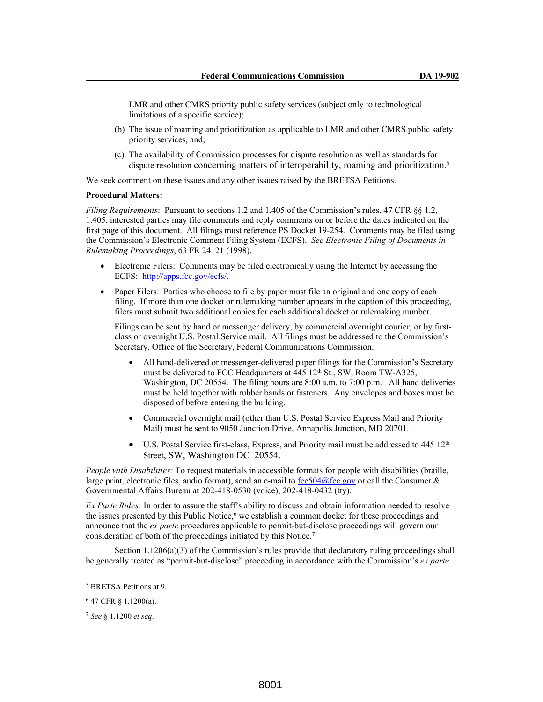LMR and other CMRS priority public safety services (subject only to technological limitations of a specific service);

- (b) The issue of roaming and prioritization as applicable to LMR and other CMRS public safety priority services, and;
- (c) The availability of Commission processes for dispute resolution as well as standards for dispute resolution concerning matters of interoperability, roaming and prioritization.<sup>5</sup>

We seek comment on these issues and any other issues raised by the BRETSA Petitions.

## **Procedural Matters:**

*Filing Requirements*: Pursuant to sections 1.2 and 1.405 of the Commission's rules, 47 CFR §§ 1.2, 1.405, interested parties may file comments and reply comments on or before the dates indicated on the first page of this document. All filings must reference PS Docket 19-254. Comments may be filed using the Commission's Electronic Comment Filing System (ECFS). *See Electronic Filing of Documents in Rulemaking Proceedings*, 63 FR 24121 (1998).

- Electronic Filers: Comments may be filed electronically using the Internet by accessing the ECFS: http://apps.fcc.gov/ecfs/.
- Paper Filers: Parties who choose to file by paper must file an original and one copy of each filing. If more than one docket or rulemaking number appears in the caption of this proceeding, filers must submit two additional copies for each additional docket or rulemaking number.

Filings can be sent by hand or messenger delivery, by commercial overnight courier, or by firstclass or overnight U.S. Postal Service mail. All filings must be addressed to the Commission's Secretary, Office of the Secretary, Federal Communications Commission.

- All hand-delivered or messenger-delivered paper filings for the Commission's Secretary must be delivered to FCC Headquarters at 445 12<sup>th</sup> St., SW, Room TW-A325, Washington, DC 20554. The filing hours are 8:00 a.m. to 7:00 p.m. All hand deliveries must be held together with rubber bands or fasteners. Any envelopes and boxes must be disposed of before entering the building.
- Commercial overnight mail (other than U.S. Postal Service Express Mail and Priority Mail) must be sent to 9050 Junction Drive, Annapolis Junction, MD 20701.
- $\bullet$  U.S. Postal Service first-class, Express, and Priority mail must be addressed to 445 12<sup>th</sup> Street, SW, Washington DC 20554.

*People with Disabilities:* To request materials in accessible formats for people with disabilities (braille, large print, electronic files, audio format), send an e-mail to  $fcc504@$  fcc.gov or call the Consumer & Governmental Affairs Bureau at 202-418-0530 (voice), 202-418-0432 (tty).

*Ex Parte Rules:* In order to assure the staff's ability to discuss and obtain information needed to resolve the issues presented by this Public Notice,<sup>6</sup> we establish a common docket for these proceedings and announce that the *ex parte* procedures applicable to permit-but-disclose proceedings will govern our consideration of both of the proceedings initiated by this Notice.<sup>7</sup>

Section 1.1206(a)(3) of the Commission's rules provide that declaratory ruling proceedings shall be generally treated as "permit-but-disclose" proceeding in accordance with the Commission's *ex parte* 

<sup>5</sup> BRETSA Petitions at 9.

<sup>6</sup> 47 CFR § 1.1200(a).

<sup>7</sup> *See* § 1.1200 *et seq*.